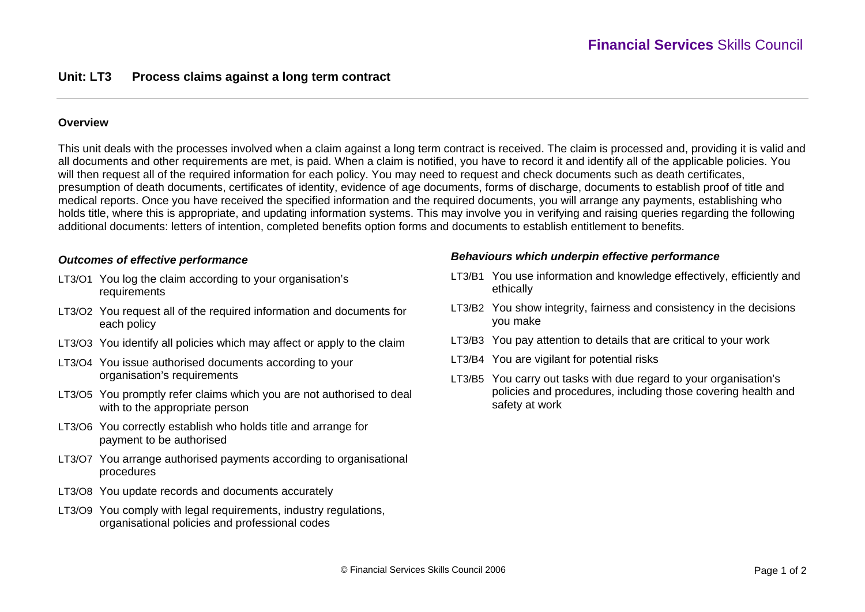### **Overview**

This unit deals with the processes involved when a claim against a long term contract is received. The claim is processed and, providing it is valid and all documents and other requirements are met, is paid. When a claim is notified, you have to record it and identify all of the applicable policies. You will then request all of the required information for each policy. You may need to request and check documents such as death certificates, presumption of death documents, certificates of identity, evidence of age documents, forms of discharge, documents to establish proof of title and medical reports. Once you have received the specified information and the required documents, you will arrange any payments, establishing who holds title, where this is appropriate, and updating information systems. This may involve you in verifying and raising queries regarding the following additional documents: letters of intention, completed benefits option forms and documents to establish entitlement to benefits.

#### *Outcomes of effective performance*

- LT3/O1 You log the claim according to your organisation's requirements
- LT3/O2 You request all of the required information and documents for each policy
- LT3/O3 You identify all policies which may affect or apply to the claim
- LT3/O4 You issue authorised documents according to your organisation's requirements
- LT3/O5 You promptly refer claims which you are not authorised to deal with to the appropriate person
- LT3/O6 You correctly establish who holds title and arrange for payment to be authorised
- LT3/O7 You arrange authorised payments according to organisational procedures
- LT3/O8 You update records and documents accurately
- LT3/O9 You comply with legal requirements, industry regulations, organisational policies and professional codes

#### *Behaviours which underpin effective performance*

- LT3/B1 You use information and knowledge effectively, efficiently and ethically
- LT3/B2 You show integrity, fairness and consistency in the decisions you make
- LT3/B3 You pay attention to details that are critical to your work
- LT3/B4 You are vigilant for potential risks
- LT3/B5 You carry out tasks with due regard to your organisation's policies and procedures, including those covering health and safety at work